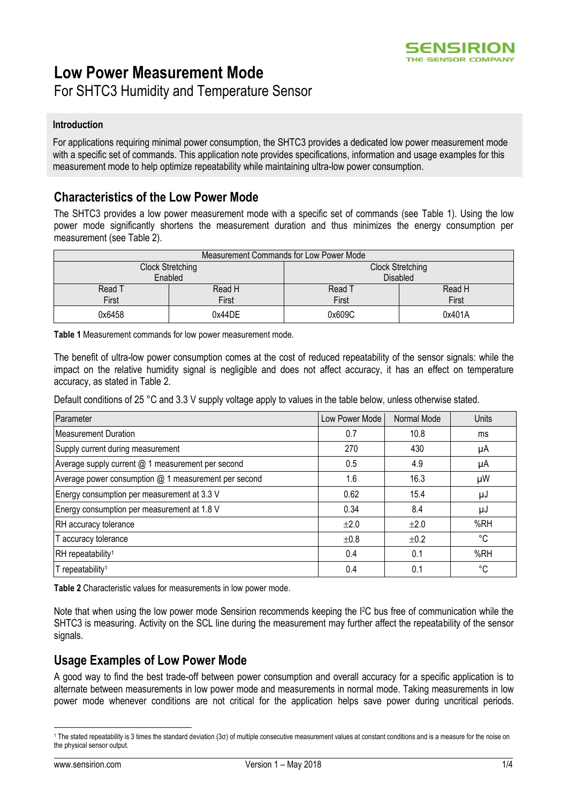

# **Low Power Measurement Mode**

For SHTC3 Humidity and Temperature Sensor

### **Introduction**

For applications requiring minimal power consumption, the SHTC3 provides a dedicated low power measurement mode with a specific set of commands. This application note provides specifications, information and usage examples for this measurement mode to help optimize repeatability while maintaining ultra-low power consumption.

## **Characteristics of the Low Power Mode**

The SHTC3 provides a low power measurement mode with a specific set of commands (see [Table 1\)](#page-0-0). Using the low power mode significantly shortens the measurement duration and thus minimizes the energy consumption per measurement (see [Table 2\)](#page-0-1).

| Measurement Commands for Low Power Mode |        |                         |        |  |  |
|-----------------------------------------|--------|-------------------------|--------|--|--|
| Clock Stretching                        |        | <b>Clock Stretching</b> |        |  |  |
| Enabled                                 |        | <b>Disabled</b>         |        |  |  |
| Read T                                  | Read H | Read T                  | Read H |  |  |
| First                                   | First  | First                   | First  |  |  |
| 0x6458                                  | 0x44DE | 0x609C                  | 0x401A |  |  |

<span id="page-0-0"></span>**Table 1** Measurement commands for low power measurement mode.

The benefit of ultra-low power consumption comes at the cost of reduced repeatability of the sensor signals: while the impact on the relative humidity signal is negligible and does not affect accuracy, it has an effect on temperature accuracy, as stated in [Table 2.](#page-0-1)

Default conditions of 25 °C and 3.3 V supply voltage apply to values in the table below, unless otherwise stated.

| Parameter                                            | Low Power Mode | Normal Mode | Units |
|------------------------------------------------------|----------------|-------------|-------|
| <b>Measurement Duration</b>                          | 0.7            | 10.8        | ms    |
| Supply current during measurement                    | 270            | 430         | μA    |
| Average supply current @ 1 measurement per second    | 0.5            | 4.9         | μA    |
| Average power consumption @ 1 measurement per second | 1.6            | 16.3        | μW    |
| Energy consumption per measurement at 3.3 V          | 0.62           | 15.4        | μJ    |
| Energy consumption per measurement at 1.8 V          | 0.34           | 8.4         | μJ    |
| RH accuracy tolerance                                | $\pm 2.0$      | $\pm 2.0$   | %RH   |
| T accuracy tolerance                                 | ±0.8           | ±0.2        | °C    |
| RH repeatability <sup>1</sup>                        | 0.4            | 0.1         | %RH   |
| T repeatability <sup>1</sup>                         | 0.4            | 0.1         | °C    |

<span id="page-0-2"></span><span id="page-0-1"></span>**Table 2** Characteristic values for measurements in low power mode.

Note that when using the low power mode Sensirion recommends keeping the I2C bus free of communication while the SHTC3 is measuring. Activity on the SCL line during the measurement may further affect the repeatability of the sensor signals.

## **Usage Examples of Low Power Mode**

A good way to find the best trade-off between power consumption and overall accuracy for a specific application is to alternate between measurements in low power mode and measurements in normal mode. Taking measurements in low power mode whenever conditions are not critical for the application helps save power during uncritical periods.

-

<sup>1</sup> The stated repeatability is 3 times the standard deviation (3σ) of multiple consecutive measurement values at constant conditions and is a measure for the noise on the physical sensor output.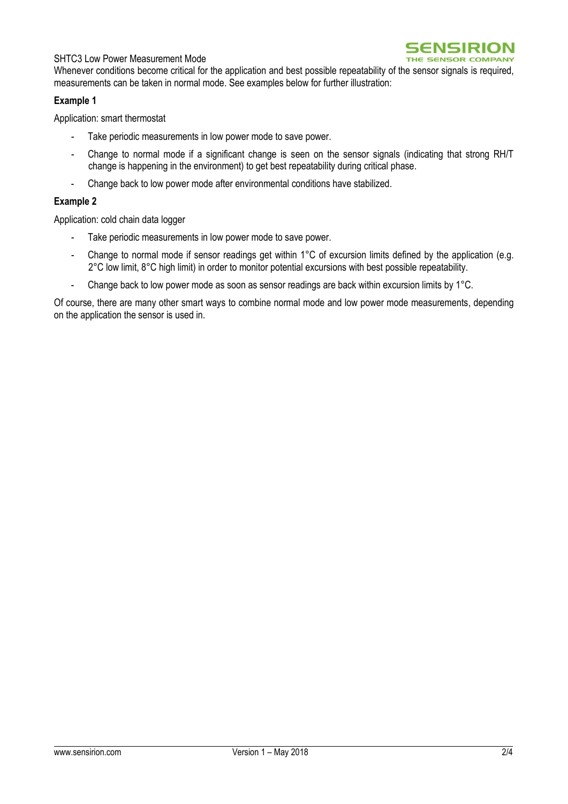### SHTC3 Low Power Measurement Mode



Whenever conditions become critical for the application and best possible repeatability of the sensor signals is required, measurements can be taken in normal mode. See examples below for further illustration:

### **Example 1**

Application: smart thermostat

- Take periodic measurements in low power mode to save power.
- Change to normal mode if a significant change is seen on the sensor signals (indicating that strong RH/T change is happening in the environment) to get best repeatability during critical phase.
- Change back to low power mode after environmental conditions have stabilized.

### **Example 2**

Application: cold chain data logger

- Take periodic measurements in low power mode to save power.
- Change to normal mode if sensor readings get within 1°C of excursion limits defined by the application (e.g. 2°C low limit, 8°C high limit) in order to monitor potential excursions with best possible repeatability.
- Change back to low power mode as soon as sensor readings are back within excursion limits by 1°C.

Of course, there are many other smart ways to combine normal mode and low power mode measurements, depending on the application the sensor is used in.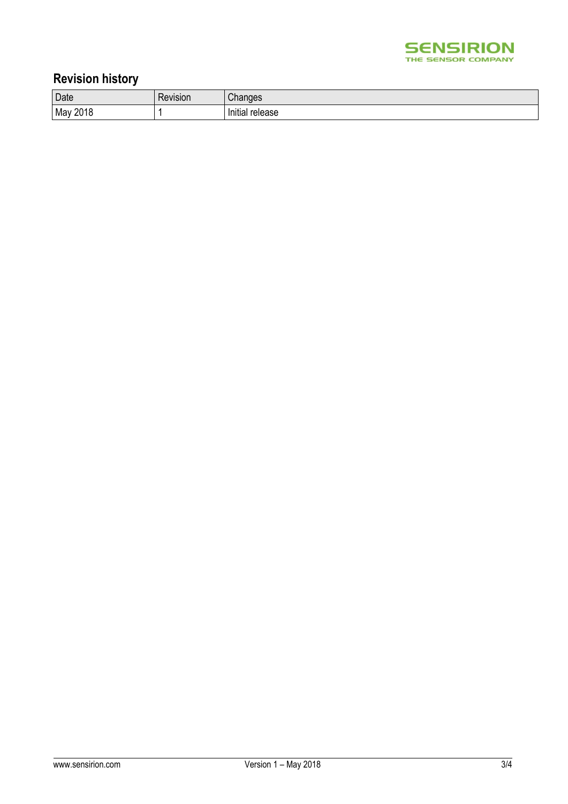

## **Revision history**

| Date        | 151011 | $\sim$<br>uue.         |
|-------------|--------|------------------------|
| 2018<br>Mav |        | .<br>release<br>iiliai |